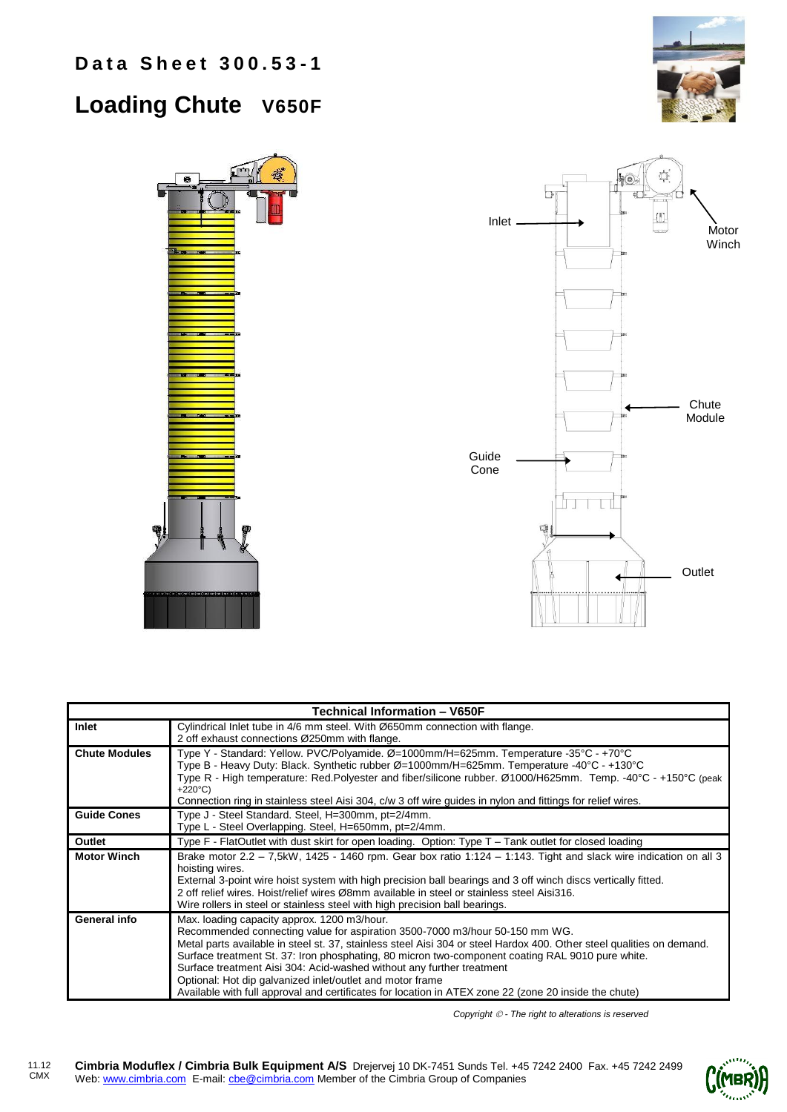## **Loading Chute V650F**





| <b>Technical Information - V650F</b> |                                                                                                                                                                                                                                                                                                                                                                                                                                                                                                                                                                                                        |  |  |  |
|--------------------------------------|--------------------------------------------------------------------------------------------------------------------------------------------------------------------------------------------------------------------------------------------------------------------------------------------------------------------------------------------------------------------------------------------------------------------------------------------------------------------------------------------------------------------------------------------------------------------------------------------------------|--|--|--|
| Inlet                                | Cylindrical Inlet tube in 4/6 mm steel. With Ø650mm connection with flange.                                                                                                                                                                                                                                                                                                                                                                                                                                                                                                                            |  |  |  |
|                                      | 2 off exhaust connections Ø250mm with flange.                                                                                                                                                                                                                                                                                                                                                                                                                                                                                                                                                          |  |  |  |
| <b>Chute Modules</b>                 | Type Y - Standard: Yellow. PVC/Polyamide. Ø=1000mm/H=625mm. Temperature -35°C - +70°C<br>Type B - Heavy Duty: Black. Synthetic rubber Ø=1000mm/H=625mm. Temperature -40°C - +130°C<br>Type R - High temperature: Red.Polyester and fiber/silicone rubber. Ø1000/H625mm. Temp. -40°C - +150°C (peak<br>$+220^{\circ}C$                                                                                                                                                                                                                                                                                  |  |  |  |
|                                      | Connection ring in stainless steel Aisi 304, c/w 3 off wire guides in nylon and fittings for relief wires.                                                                                                                                                                                                                                                                                                                                                                                                                                                                                             |  |  |  |
| <b>Guide Cones</b>                   | Type J - Steel Standard. Steel, H=300mm, pt=2/4mm.<br>Type L - Steel Overlapping. Steel, H=650mm, pt=2/4mm.                                                                                                                                                                                                                                                                                                                                                                                                                                                                                            |  |  |  |
| Outlet                               | Type F - FlatOutlet with dust skirt for open loading. Option: Type T – Tank outlet for closed loading                                                                                                                                                                                                                                                                                                                                                                                                                                                                                                  |  |  |  |
| <b>Motor Winch</b>                   | Brake motor $2.2 - 7,5kW$ , 1425 - 1460 rpm. Gear box ratio 1:124 - 1:143. Tight and slack wire indication on all 3<br>hoisting wires.<br>External 3-point wire hoist system with high precision ball bearings and 3 off winch discs vertically fitted.<br>2 off relief wires. Hoist/relief wires Ø8mm available in steel or stainless steel Aisi316.<br>Wire rollers in steel or stainless steel with high precision ball bearings.                                                                                                                                                                   |  |  |  |
| General info                         | Max. loading capacity approx. 1200 m3/hour.<br>Recommended connecting value for aspiration 3500-7000 m3/hour 50-150 mm WG.<br>Metal parts available in steel st. 37, stainless steel Aisi 304 or steel Hardox 400. Other steel qualities on demand.<br>Surface treatment St. 37: Iron phosphating, 80 micron two-component coating RAL 9010 pure white.<br>Surface treatment Aisi 304: Acid-washed without any further treatment<br>Optional: Hot dip galvanized inlet/outlet and motor frame<br>Available with full approval and certificates for location in ATEX zone 22 (zone 20 inside the chute) |  |  |  |

*Copyright - The right to alterations is reserved*